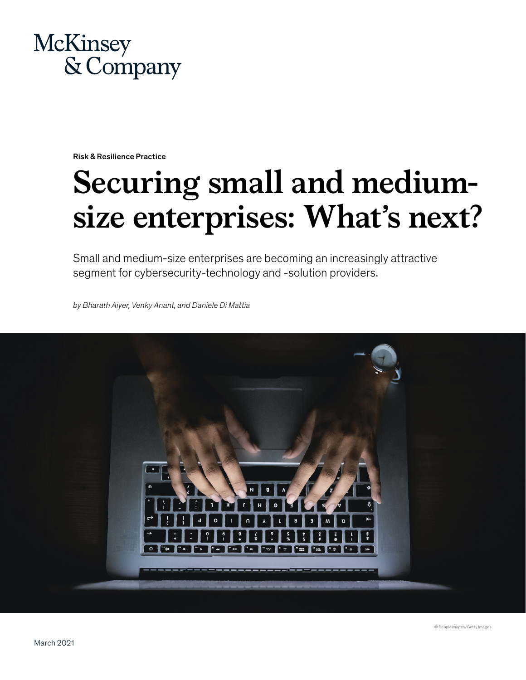

Risk & Resilience Practice

# **Securing small and mediumsize enterprises: What's next?**

Small and medium-size enterprises are becoming an increasingly attractive segment for cybersecurity-technology and -solution providers.

*by Bharath Aiyer, Venky Anant, and Daniele Di Mattia*



© Peopleimages/Getty Images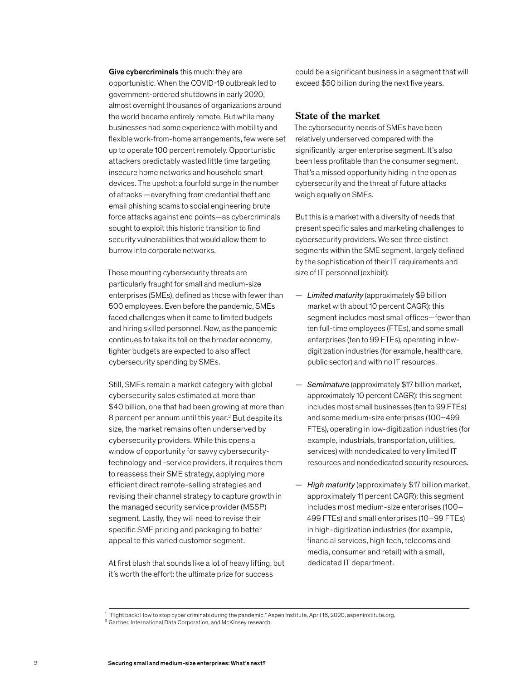Give cybercriminals this much: they are opportunistic. When the COVID-19 outbreak led to government-ordered shutdowns in early 2020, almost overnight thousands of organizations around the world became entirely remote. But while many businesses had some experience with mobility and flexible work-from-home arrangements, few were set up to operate 100 percent remotely. Opportunistic attackers predictably wasted little time targeting insecure home networks and household smart devices. The upshot: a fourfold surge in the number of attacks1 —everything from credential theft and email phishing scams to social engineering brute force attacks against end points—as cybercriminals sought to exploit this historic transition to find security vulnerabilities that would allow them to burrow into corporate networks.

These mounting cybersecurity threats are particularly fraught for small and medium-size enterprises (SMEs), defined as those with fewer than 500 employees. Even before the pandemic, SMEs faced challenges when it came to limited budgets and hiring skilled personnel. Now, as the pandemic continues to take its toll on the broader economy, tighter budgets are expected to also affect cybersecurity spending by SMEs.

Still, SMEs remain a market category with global cybersecurity sales estimated at more than \$40 billion, one that had been growing at more than 8 percent per annum until this year.<sup>2</sup> But despite its size, the market remains often underserved by cybersecurity providers. While this opens a window of opportunity for savvy cybersecuritytechnology and -service providers, it requires them to reassess their SME strategy, applying more efficient direct remote-selling strategies and revising their channel strategy to capture growth in the managed security service provider (MSSP) segment. Lastly, they will need to revise their specific SME pricing and packaging to better appeal to this varied customer segment.

At first blush that sounds like a lot of heavy lifting, but it's worth the effort: the ultimate prize for success

could be a significant business in a segment that will exceed \$50 billion during the next five years.

## **State of the market**

The cybersecurity needs of SMEs have been relatively underserved compared with the significantly larger enterprise segment. It's also been less profitable than the consumer segment. That's a missed opportunity hiding in the open as cybersecurity and the threat of future attacks weigh equally on SMEs.

But this is a market with a diversity of needs that present specific sales and marketing challenges to cybersecurity providers. We see three distinct segments within the SME segment, largely defined by the sophistication of their IT requirements and size of IT personnel (exhibit):

- *Limited maturity* (approximately \$9 billion market with about 10 percent CAGR): this segment includes most small offices—fewer than ten full-time employees (FTEs), and some small enterprises (ten to 99 FTEs), operating in lowdigitization industries (for example, healthcare, public sector) and with no IT resources.
- *Semimature* (approximately \$17 billion market, approximately 10 percent CAGR): this segment includes most small businesses (ten to 99 FTEs) and some medium-size enterprises (100–499 FTEs), operating in low-digitization industries (for example, industrials, transportation, utilities, services) with nondedicated to very limited IT resources and nondedicated security resources.
- *High maturity* (approximately \$17 billion market, approximately 11 percent CAGR): this segment includes most medium-size enterprises (100– 499 FTEs) and small enterprises (10–99 FTEs) in high-digitization industries (for example, financial services, high tech, telecoms and media, consumer and retail) with a small, dedicated IT department.

 $^1$  "Fight back: How to stop cyber criminals during the pandemic," Aspen Institute, April 16, 2020, aspeninstitute.org.

<sup>2</sup> Gartner, International Data Corporation, and McKinsey research.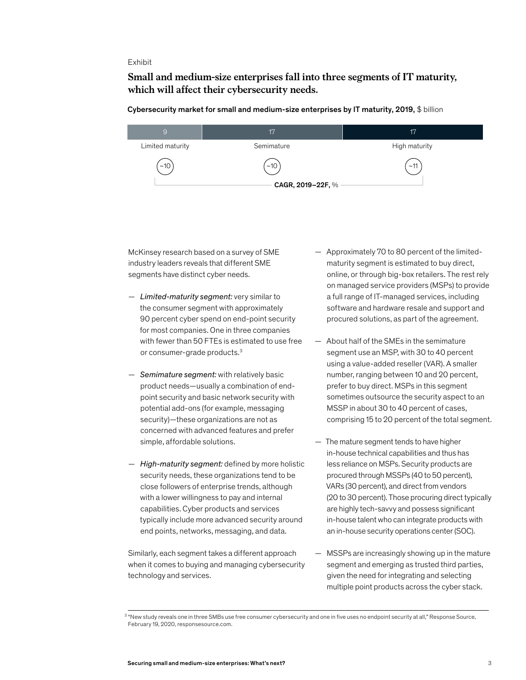#### Exhibit

# Small and medium-size enterprises fall into three segments of IT maturity, **Small and medium-size enterprises fall into three segments of IT maturity,**  which will affect their cybersecurity needs.

Cybersecurity market for small and medium-size enterprises by IT maturity, 2019, \$ billion

| 9                 | 17         | 17            |
|-------------------|------------|---------------|
| Limited maturity  | Semimature | High maturity |
| ~10               | ~10        | ~11           |
| CAGR, 2019-22F, % |            |               |

McKinsey research based on a survey of SME industry leaders reveals that different SME segments have distinct cyber needs.

- *Limited-maturity segment:* very similar to the consumer segment with approximately 90 percent cyber spend on end-point security for most companies. One in three companies with fewer than 50 FTEs is estimated to use free or consumer-grade products.<sup>3</sup>
- *Semimature segment:* with relatively basic product needs—usually a combination of endpoint security and basic network security with potential add-ons (for example, messaging security)—these organizations are not as concerned with advanced features and prefer simple, affordable solutions.
- *High-maturity segment:* defined by more holistic security needs, these organizations tend to be close followers of enterprise trends, although with a lower willingness to pay and internal capabilities. Cyber products and services typically include more advanced security around end points, networks, messaging, and data.

Similarly, each segment takes a different approach when it comes to buying and managing cybersecurity technology and services.

- Approximately 70 to 80 percent of the limitedmaturity segment is estimated to buy direct, online, or through big-box retailers. The rest rely on managed service providers (MSPs) to provide a full range of IT-managed services, including software and hardware resale and support and procured solutions, as part of the agreement.
- About half of the SMEs in the semimature segment use an MSP, with 30 to 40 percent using a value-added reseller (VAR). A smaller number, ranging between 10 and 20 percent, prefer to buy direct. MSPs in this segment sometimes outsource the security aspect to an MSSP in about 30 to 40 percent of cases, comprising 15 to 20 percent of the total segment.
- The mature segment tends to have higher in-house technical capabilities and thus has less reliance on MSPs. Security products are procured through MSSPs (40 to 50 percent), VARs (30 percent), and direct from vendors (20 to 30 percent). Those procuring direct typically are highly tech-savvy and possess significant in-house talent who can integrate products with an in-house security operations center (SOC).
- MSSPs are increasingly showing up in the mature segment and emerging as trusted third parties, given the need for integrating and selecting multiple point products across the cyber stack.

<sup>&</sup>lt;sup>3</sup> "New study reveals one in three SMBs use free consumer cybersecurity and one in five uses no endpoint security at all," Response Source, February 19, 2020, responsesource.com.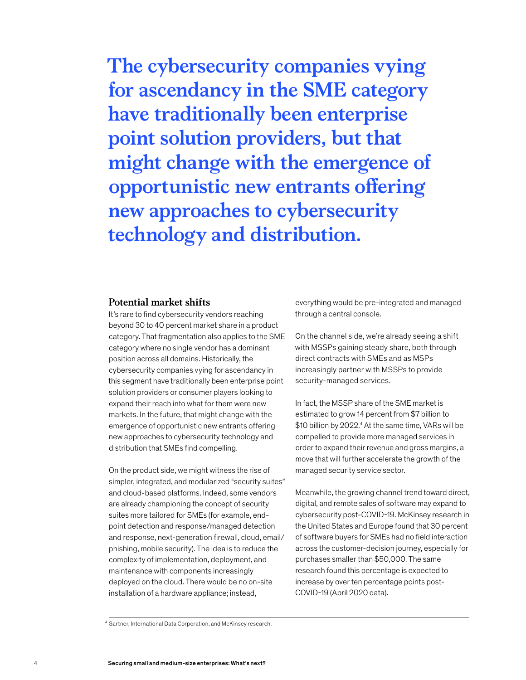**The cybersecurity companies vying for ascendancy in the SME category have traditionally been enterprise point solution providers, but that might change with the emergence of opportunistic new entrants offering new approaches to cybersecurity technology and distribution.**

### **Potential market shifts**

It's rare to find cybersecurity vendors reaching beyond 30 to 40 percent market share in a product category. That fragmentation also applies to the SME category where no single vendor has a dominant position across all domains. Historically, the cybersecurity companies vying for ascendancy in this segment have traditionally been enterprise point solution providers or consumer players looking to expand their reach into what for them were new markets. In the future, that might change with the emergence of opportunistic new entrants offering new approaches to cybersecurity technology and distribution that SMEs find compelling.

On the product side, we might witness the rise of simpler, integrated, and modularized "security suites" and cloud-based platforms. Indeed, some vendors are already championing the concept of security suites more tailored for SMEs (for example, endpoint detection and response/managed detection and response, next-generation firewall, cloud, email/ phishing, mobile security). The idea is to reduce the complexity of implementation, deployment, and maintenance with components increasingly deployed on the cloud. There would be no on-site installation of a hardware appliance; instead,

everything would be pre-integrated and managed through a central console.

On the channel side, we're already seeing a shift with MSSPs gaining steady share, both through direct contracts with SMEs and as MSPs increasingly partner with MSSPs to provide security-managed services.

In fact, the MSSP share of the SME market is estimated to grow 14 percent from \$7 billion to \$10 billion by 2022.4 At the same time, VARs will be compelled to provide more managed services in order to expand their revenue and gross margins, a move that will further accelerate the growth of the managed security service sector.

Meanwhile, the growing channel trend toward direct, digital, and remote sales of software may expand to cybersecurity post-COVID-19. McKinsey research in the United States and Europe found that 30 percent of software buyers for SMEs had no field interaction across the customer-decision journey, especially for purchases smaller than \$50,000. The same research found this percentage is expected to increase by over ten percentage points post-COVID-19 (April 2020 data).

<sup>4</sup> Gartner, International Data Corporation, and McKinsey research.